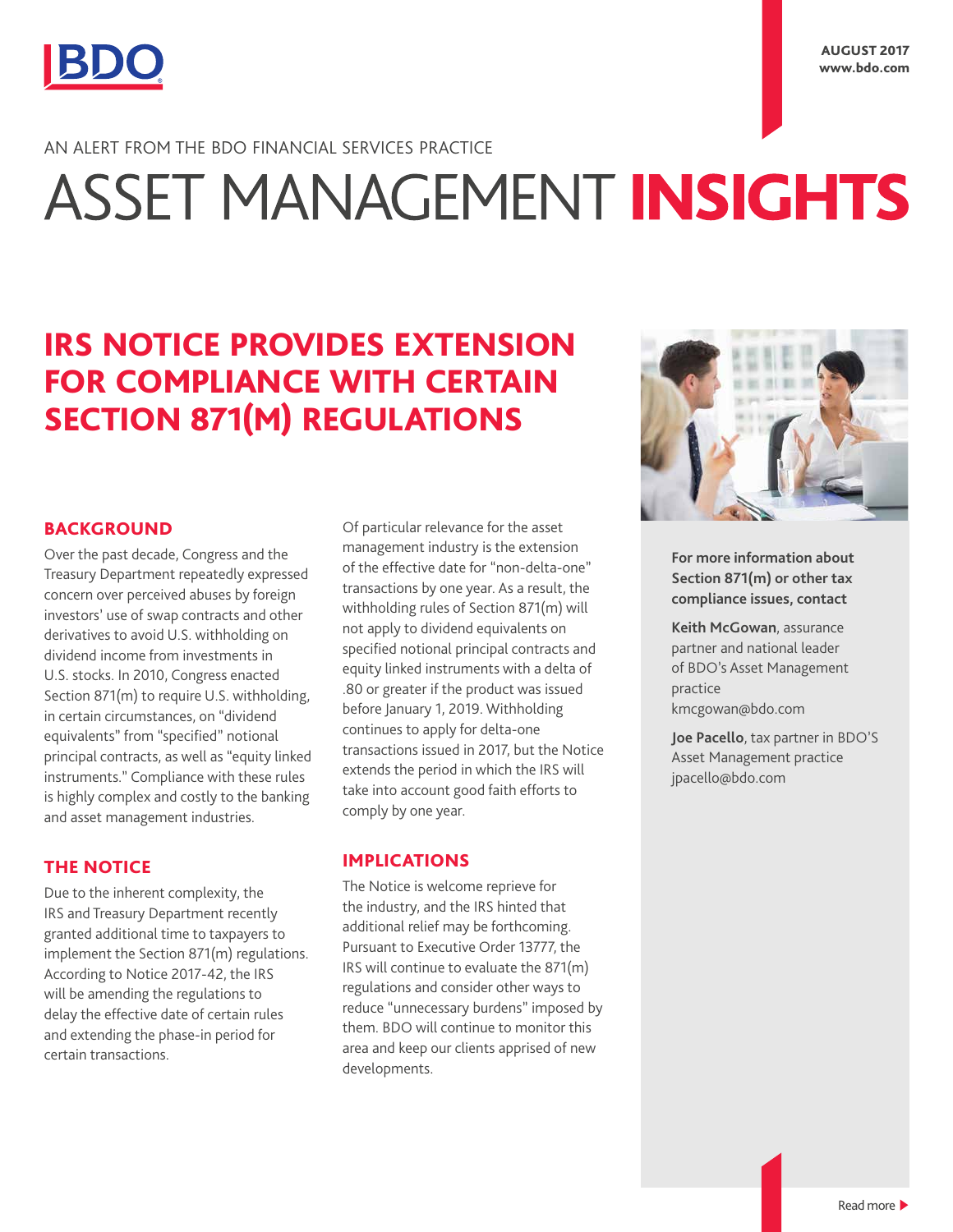

AN ALERT FROM THE BDO FINANCIAL SERVICES PRACTICE

# ASSET MANAGEMENT INSIGHTS

# IRS NOTICE PROVIDES EXTENSION FOR COMPLIANCE WITH CERTAIN SECTION 871(M) REGULATIONS

# **BACKGROUND**

Over the past decade, Congress and the Treasury Department repeatedly expressed concern over perceived abuses by foreign investors' use of swap contracts and other derivatives to avoid U.S. withholding on dividend income from investments in U.S. stocks. In 2010, Congress enacted Section 871(m) to require U.S. withholding, in certain circumstances, on "dividend equivalents" from "specified" notional principal contracts, as well as "equity linked instruments." Compliance with these rules is highly complex and costly to the banking and asset management industries.

# THE NOTICE

Due to the inherent complexity, the IRS and Treasury Department recently granted additional time to taxpayers to implement the Section 871(m) regulations. According to Notice 2017-42, the IRS will be amending the regulations to delay the effective date of certain rules and extending the phase-in period for certain transactions.

Of particular relevance for the asset management industry is the extension of the effective date for "non-delta-one" transactions by one year. As a result, the withholding rules of Section 871(m) will not apply to dividend equivalents on specified notional principal contracts and equity linked instruments with a delta of .80 or greater if the product was issued before January 1, 2019. Withholding continues to apply for delta-one transactions issued in 2017, but the Notice extends the period in which the IRS will take into account good faith efforts to comply by one year.

# IMPLICATIONS

The Notice is welcome reprieve for the industry, and the IRS hinted that additional relief may be forthcoming. Pursuant to Executive Order 13777, the IRS will continue to evaluate the 871(m) regulations and consider other ways to reduce "unnecessary burdens" imposed by them. BDO will continue to monitor this area and keep our clients apprised of new developments.



**For more information about Section 871(m) or other tax compliance issues, contact** 

**Keith McGowan**, assurance partner and national leader of BDO's Asset Management practice kmcgowan@bdo.com

**Joe Pacello**, tax partner in BDO'S Asset Management practice jpacello@bdo.com